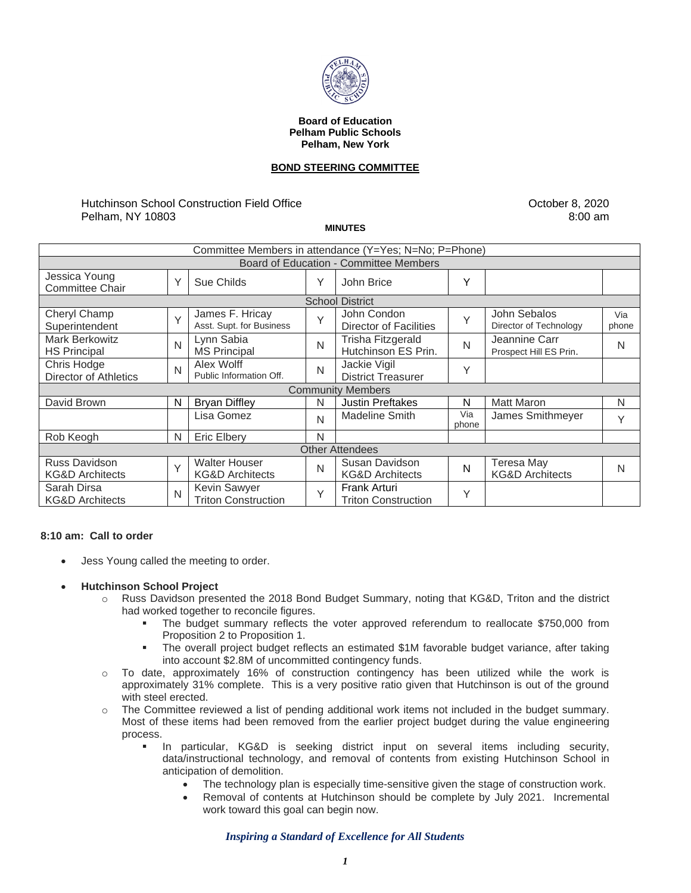

#### **Board of Education Pelham Public Schools Pelham, New York**

# **BOND STEERING COMMITTEE**

# Hutchinson School Construction Field Office Pelham, NY 10803

October 8, 2020 8:00 am

#### **MINUTES**

| Committee Members in attendance (Y=Yes; N=No; P=Phone) |        |                                                    |              |                                              |              |                                                 |              |
|--------------------------------------------------------|--------|----------------------------------------------------|--------------|----------------------------------------------|--------------|-------------------------------------------------|--------------|
| <b>Board of Education - Committee Members</b>          |        |                                                    |              |                                              |              |                                                 |              |
| Jessica Young<br><b>Committee Chair</b>                | Υ      | Sue Childs                                         | Υ            | John Brice                                   | Υ            |                                                 |              |
| <b>School District</b>                                 |        |                                                    |              |                                              |              |                                                 |              |
| Cheryl Champ<br>Superintendent                         | $\vee$ | James F. Hricay<br>Asst. Supt. for Business        | $\checkmark$ | John Condon<br><b>Director of Facilities</b> | $\checkmark$ | John Sebalos<br>Director of Technology          | Via<br>phone |
| <b>Mark Berkowitz</b><br><b>HS Principal</b>           | N      | Lynn Sabia<br><b>MS Principal</b>                  | N            | Trisha Fitzgerald<br>Hutchinson ES Prin.     | N            | Jeannine Carr<br>Prospect Hill ES Prin.         | N            |
| Chris Hodge<br><b>Director of Athletics</b>            | N      | Alex Wolff<br>Public Information Off.              | Ν            | Jackie Vigil<br><b>District Treasurer</b>    | Υ            |                                                 |              |
| <b>Community Members</b>                               |        |                                                    |              |                                              |              |                                                 |              |
| David Brown                                            | N      | <b>Bryan Diffley</b>                               | N            | <b>Justin Preftakes</b>                      | N            | <b>Matt Maron</b>                               | N            |
|                                                        |        | Lisa Gomez                                         | N            | <b>Madeline Smith</b>                        | Via<br>phone | James Smithmeyer                                | Υ            |
| Rob Keogh                                              | N      | <b>Eric Elbery</b>                                 | N            |                                              |              |                                                 |              |
| <b>Other Attendees</b>                                 |        |                                                    |              |                                              |              |                                                 |              |
| Russ Davidson<br><b>KG&amp;D Architects</b>            | $\vee$ | <b>Walter Houser</b><br><b>KG&amp;D Architects</b> | N            | Susan Davidson<br><b>KG&amp;D Architects</b> | N            | <b>Teresa May</b><br><b>KG&amp;D Architects</b> | N            |
| Sarah Dirsa<br><b>KG&amp;D Architects</b>              | N      | Kevin Sawyer<br><b>Triton Construction</b>         | $\checkmark$ | Frank Arturi<br><b>Triton Construction</b>   | Υ            |                                                 |              |

# **8:10 am: Call to order**

- Jess Young called the meeting to order.
- **Hutchinson School Project**
	- o Russ Davidson presented the 2018 Bond Budget Summary, noting that KG&D, Triton and the district had worked together to reconcile figures.
		- The budget summary reflects the voter approved referendum to reallocate \$750,000 from Proposition 2 to Proposition 1.
		- **•** The overall project budget reflects an estimated \$1M favorable budget variance, after taking into account \$2.8M of uncommitted contingency funds.
	- $\circ$  To date, approximately 16% of construction contingency has been utilized while the work is approximately 31% complete. This is a very positive ratio given that Hutchinson is out of the ground with steel erected.
	- $\circ$  The Committee reviewed a list of pending additional work items not included in the budget summary. Most of these items had been removed from the earlier project budget during the value engineering process.
		- In particular, KG&D is seeking district input on several items including security, data/instructional technology, and removal of contents from existing Hutchinson School in anticipation of demolition.
			- The technology plan is especially time-sensitive given the stage of construction work.
			- Removal of contents at Hutchinson should be complete by July 2021. Incremental work toward this goal can begin now.

*Inspiring a Standard of Excellence for All Students*